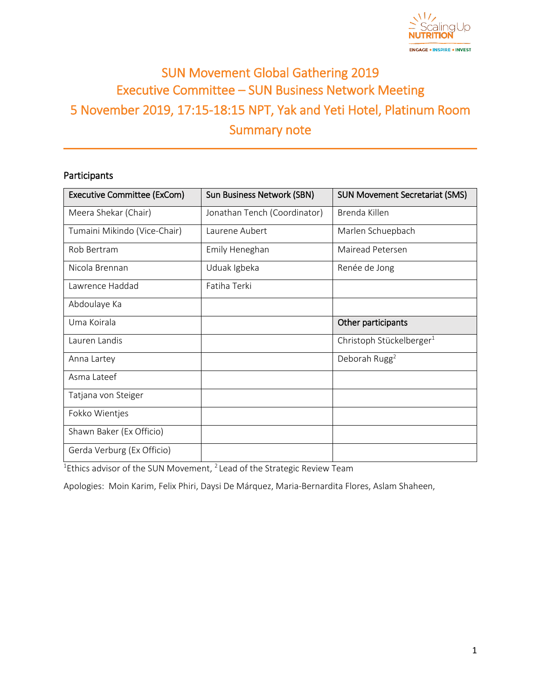

# SUN Movement Global Gathering 2019 Executive Committee – SUN Business Network Meeting 5 November 2019, 17:15-18:15 NPT, Yak and Yeti Hotel, Platinum Room Summary note

# Participants

| <b>Executive Committee (ExCom)</b> | <b>Sun Business Network (SBN)</b> | <b>SUN Movement Secretariat (SMS)</b> |
|------------------------------------|-----------------------------------|---------------------------------------|
| Meera Shekar (Chair)               | Jonathan Tench (Coordinator)      | Brenda Killen                         |
| Tumaini Mikindo (Vice-Chair)       | Laurene Aubert                    | Marlen Schuepbach                     |
| Rob Bertram                        | Emily Heneghan                    | Mairead Petersen                      |
| Nicola Brennan                     | Uduak Igbeka                      | Renée de Jong                         |
| Lawrence Haddad                    | Fatiha Terki                      |                                       |
| Abdoulaye Ka                       |                                   |                                       |
| Uma Koirala                        |                                   | Other participants                    |
| Lauren Landis                      |                                   | Christoph Stückelberger <sup>1</sup>  |
| Anna Lartey                        |                                   | Deborah Rugg <sup>2</sup>             |
| Asma Lateef                        |                                   |                                       |
| Tatjana von Steiger                |                                   |                                       |
| Fokko Wientjes                     |                                   |                                       |
| Shawn Baker (Ex Officio)           |                                   |                                       |
| Gerda Verburg (Ex Officio)         |                                   |                                       |

<sup>1</sup>Ethics advisor of the SUN Movement, <sup>2</sup> Lead of the Strategic Review Team

Apologies: Moin Karim, Felix Phiri, Daysi De Márquez, Maria-Bernardita Flores, Aslam Shaheen,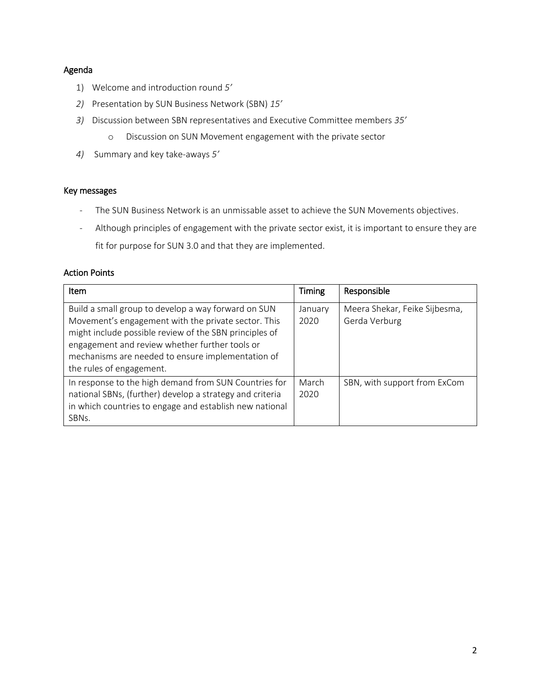#### Agenda

- 1) Welcome and introduction round *5'*
- *2)* Presentation by SUN Business Network (SBN) *15'*
- *3)* Discussion between SBN representatives and Executive Committee members *35'*
	- o Discussion on SUN Movement engagement with the private sector
- *4)* Summary and key take-aways *5'*

#### Key messages

- The SUN Business Network is an unmissable asset to achieve the SUN Movements objectives.
- Although principles of engagement with the private sector exist, it is important to ensure they are fit for purpose for SUN 3.0 and that they are implemented.

#### Action Points

| <b>Item</b>                                                                                                                                                                                                                                                                                             | <b>Timing</b>   | Responsible                                    |
|---------------------------------------------------------------------------------------------------------------------------------------------------------------------------------------------------------------------------------------------------------------------------------------------------------|-----------------|------------------------------------------------|
| Build a small group to develop a way forward on SUN<br>Movement's engagement with the private sector. This<br>might include possible review of the SBN principles of<br>engagement and review whether further tools or<br>mechanisms are needed to ensure implementation of<br>the rules of engagement. | January<br>2020 | Meera Shekar, Feike Sijbesma,<br>Gerda Verburg |
| In response to the high demand from SUN Countries for<br>national SBNs, (further) develop a strategy and criteria<br>in which countries to engage and establish new national<br>SBN <sub>s</sub> .                                                                                                      | March<br>2020   | SBN, with support from ExCom                   |